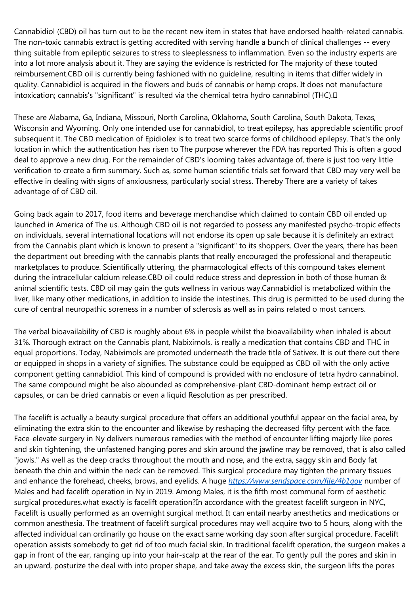Cannabidiol (CBD) oil has turn out to be the recent new item in states that have endorsed health-related cannabis. The non-toxic cannabis extract is getting accredited with serving handle a bunch of clinical challenges -- every thing suitable from epileptic seizures to stress to sleeplessness to inflammation. Even so the industry experts are into a lot more analysis about it. They are saying the evidence is restricted for The majority of these touted reimbursement.CBD oil is currently being fashioned with no guideline, resulting in items that differ widely in quality. Cannabidiol is acquired in the flowers and buds of cannabis or hemp crops. It does not manufacture intoxication; cannabis's "significant" is resulted via the chemical tetra hydro cannabinol (THC).

These are Alabama, Ga, Indiana, Missouri, North Carolina, Oklahoma, South Carolina, South Dakota, Texas, Wisconsin and Wyoming. Only one intended use for cannabidiol, to treat epilepsy, has appreciable scientific proof subsequent it. The CBD medication of Epidiolex is to treat two scarce forms of childhood epilepsy. That's the only location in which the authentication has risen to The purpose wherever the FDA has reported This is often a good deal to approve a new drug. For the remainder of CBD's looming takes advantage of, there is just too very little verification to create a firm summary. Such as, some human scientific trials set forward that CBD may very well be effective in dealing with signs of anxiousness, particularly social stress. Thereby There are a variety of takes advantage of of CBD oil.

Going back again to 2017, food items and beverage merchandise which claimed to contain CBD oil ended up launched in America of The us. Although CBD oil is not regarded to possess any manifested psycho-tropic effects on individuals, several international locations will not endorse its open up sale because it is definitely an extract from the Cannabis plant which is known to present a "significant" to its shoppers. Over the years, there has been the department out breeding with the cannabis plants that really encouraged the professional and therapeutic marketplaces to produce. Scientifically uttering, the pharmacological effects of this compound takes element during the intracellular calcium release.CBD oil could reduce stress and depression in both of those human & animal scientific tests. CBD oil may gain the guts wellness in various way.Cannabidiol is metabolized within the liver, like many other medications, in addition to inside the intestines. This drug is permitted to be used during the cure of central neuropathic soreness in a number of sclerosis as well as in pains related o most cancers.

The verbal bioavailability of CBD is roughly about 6% in people whilst the bioavailability when inhaled is about 31%. Thorough extract on the Cannabis plant, Nabiximols, is really a medication that contains CBD and THC in equal proportions. Today, Nabiximols are promoted underneath the trade title of Sativex. It is out there out there or equipped in shops in a variety of signifies. The substance could be equipped as CBD oil with the only active component getting cannabidiol. This kind of compound is provided with no enclosure of tetra hydro cannabinol. The same compound might be also abounded as comprehensive-plant CBD-dominant hemp extract oil or capsules, or can be dried cannabis or even a liquid Resolution as per prescribed.

The facelift is actually a beauty surgical procedure that offers an additional youthful appear on the facial area, by eliminating the extra skin to the encounter and likewise by reshaping the decreased fifty percent with the face. Face-elevate surgery in Ny delivers numerous remedies with the method of encounter lifting majorly like pores and skin tightening, the unfastened hanging pores and skin around the jawline may be removed, that is also called "jowls." As well as the deep cracks throughout the mouth and nose, and the extra, saggy skin and Body fat beneath the chin and within the neck can be removed. This surgical procedure may tighten the primary tissues and enhance the forehead, cheeks, brows, and eyelids. A huge *<https://www.sendspace.com/file/4b1qov>* number of Males and had facelift operation in Ny in 2019. Among Males, it is the fifth most communal form of aesthetic surgical procedures.what exactly is facelift operation?In accordance with the greatest facelift surgeon in NYC, Facelift is usually performed as an overnight surgical method. It can entail nearby anesthetics and medications or common anesthesia. The treatment of facelift surgical procedures may well acquire two to 5 hours, along with the affected individual can ordinarily go house on the exact same working day soon after surgical procedure. Facelift operation assists somebody to get rid of too much facial skin. In traditional facelift operation, the surgeon makes a gap in front of the ear, ranging up into your hair-scalp at the rear of the ear. To gently pull the pores and skin in an upward, posturize the deal with into proper shape, and take away the excess skin, the surgeon lifts the pores